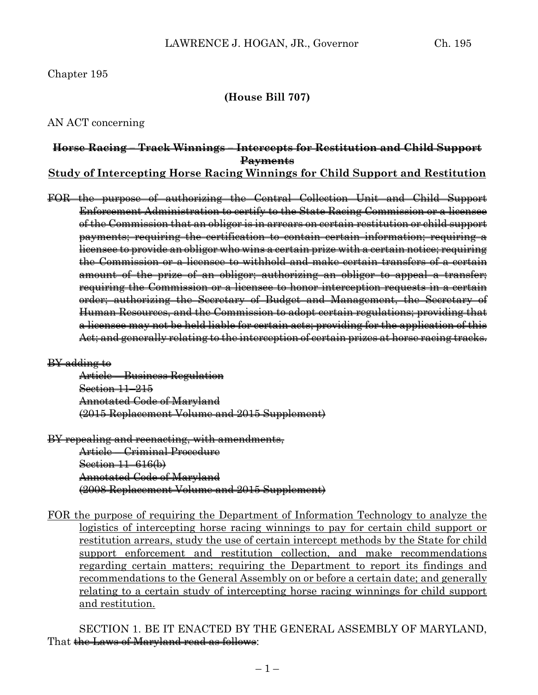## **(House Bill 707)**

AN ACT concerning

## **Horse Racing – Track Winnings – Intercepts for Restitution and Child Support Payments**

**Study of Intercepting Horse Racing Winnings for Child Support and Restitution**

FOR the purpose of authorizing the Central Collection Unit and Child Support Enforcement Administration to certify to the State Racing Commission or a licensee of the Commission that an obligor is in arrears on certain restitution or child support payments; requiring the certification to contain certain information; requiring a licensee to provide an obligor who wins a certain prize with a certain notice; requiring the Commission or a licensee to withhold and make certain transfers of a certain amount of the prize of an obligor; authorizing an obligor to appeal a transfer; requiring the Commission or a licensee to honor interception requests in a certain order; authorizing the Secretary of Budget and Management, the Secretary of Human Resources, and the Commission to adopt certain regulations; providing that a licensee may not be held liable for certain acts; providing for the application of this Act; and generally relating to the interception of certain prizes at horse racing tracks.

### BY adding to

Article – Business Regulation Section 11–215 Annotated Code of Maryland (2015 Replacement Volume and 2015 Supplement)

BY repealing and reenacting, with amendments,

Article – Criminal Procedure Section 11–616(b) Annotated Code of Maryland (2008 Replacement Volume and 2015 Supplement)

FOR the purpose of requiring the Department of Information Technology to analyze the logistics of intercepting horse racing winnings to pay for certain child support or restitution arrears, study the use of certain intercept methods by the State for child support enforcement and restitution collection, and make recommendations regarding certain matters; requiring the Department to report its findings and recommendations to the General Assembly on or before a certain date; and generally relating to a certain study of intercepting horse racing winnings for child support and restitution.

SECTION 1. BE IT ENACTED BY THE GENERAL ASSEMBLY OF MARYLAND, That the Laws of Maryland read as follows: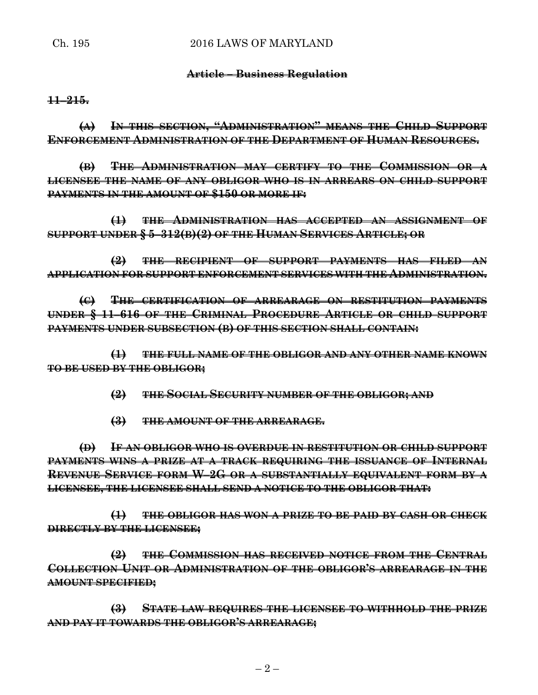## **Article – Business Regulation**

**11–215.**

**(A) IN THIS SECTION, "ADMINISTRATION" MEANS THE CHILD SUPPORT ENFORCEMENT ADMINISTRATION OF THE DEPARTMENT OF HUMAN RESOURCES.**

**(B) THE ADMINISTRATION MAY CERTIFY TO THE COMMISSION OR A LICENSEE THE NAME OF ANY OBLIGOR WHO IS IN ARREARS ON CHILD SUPPORT PAYMENTS IN THE AMOUNT OF \$150 OR MORE IF:**

**(1) THE ADMINISTRATION HAS ACCEPTED AN ASSIGNMENT OF SUPPORT UNDER § 5–312(B)(2) OF THE HUMAN SERVICES ARTICLE; OR**

**(2) THE RECIPIENT OF SUPPORT PAYMENTS HAS FILED AN APPLICATION FOR SUPPORT ENFORCEMENT SERVICES WITH THE ADMINISTRATION.**

**(C) THE CERTIFICATION OF ARREARAGE ON RESTITUTION PAYMENTS UNDER § 11–616 OF THE CRIMINAL PROCEDURE ARTICLE OR CHILD SUPPORT PAYMENTS UNDER SUBSECTION (B) OF THIS SECTION SHALL CONTAIN:**

**(1) THE FULL NAME OF THE OBLIGOR AND ANY OTHER NAME KNOWN TO BE USED BY THE OBLIGOR;**

**(2) THE SOCIAL SECURITY NUMBER OF THE OBLIGOR; AND**

**(3) THE AMOUNT OF THE ARREARAGE.**

**(D) IF AN OBLIGOR WHO IS OVERDUE IN RESTITUTION OR CHILD SUPPORT PAYMENTS WINS A PRIZE AT A TRACK REQUIRING THE ISSUANCE OF INTERNAL REVENUE SERVICE FORM W–2G OR A SUBSTANTIALLY EQUIVALENT FORM BY A LICENSEE, THE LICENSEE SHALL SEND A NOTICE TO THE OBLIGOR THAT:**

**(1) THE OBLIGOR HAS WON A PRIZE TO BE PAID BY CASH OR CHECK DIRECTLY BY THE LICENSEE;**

**(2) THE COMMISSION HAS RECEIVED NOTICE FROM THE CENTRAL COLLECTION UNIT OR ADMINISTRATION OF THE OBLIGOR'S ARREARAGE IN THE AMOUNT SPECIFIED;**

**(3) STATE LAW REQUIRES THE LICENSEE TO WITHHOLD THE PRIZE AND PAY IT TOWARDS THE OBLIGOR'S ARREARAGE;**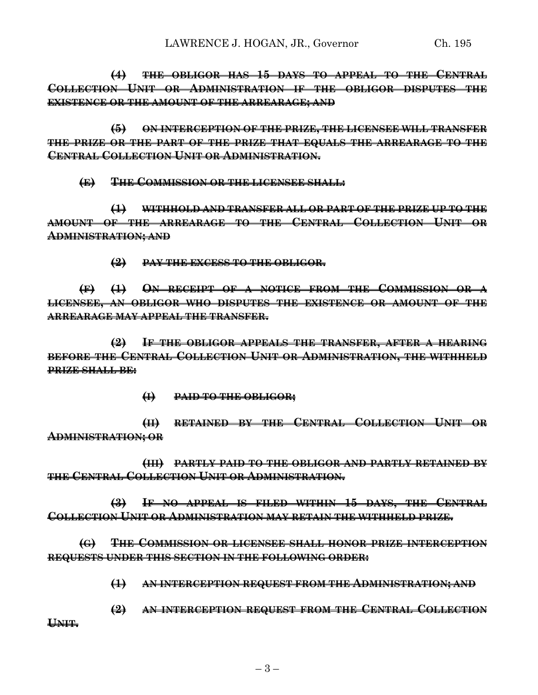**(4) THE OBLIGOR HAS 15 DAYS TO APPEAL TO THE CENTRAL COLLECTION UNIT OR ADMINISTRATION IF THE OBLIGOR DISPUTES THE EXISTENCE OR THE AMOUNT OF THE ARREARAGE; AND**

**(5) ON INTERCEPTION OF THE PRIZE, THE LICENSEE WILL TRANSFER THE PRIZE OR THE PART OF THE PRIZE THAT EQUALS THE ARREARAGE TO THE CENTRAL COLLECTION UNIT OR ADMINISTRATION.**

**(E) THE COMMISSION OR THE LICENSEE SHALL:**

**(1) WITHHOLD AND TRANSFER ALL OR PART OF THE PRIZE UP TO THE AMOUNT OF THE ARREARAGE TO THE CENTRAL COLLECTION UNIT OR ADMINISTRATION; AND**

**(2) PAY THE EXCESS TO THE OBLIGOR.**

**(F) (1) ON RECEIPT OF A NOTICE FROM THE COMMISSION OR A LICENSEE, AN OBLIGOR WHO DISPUTES THE EXISTENCE OR AMOUNT OF THE ARREARAGE MAY APPEAL THE TRANSFER.**

**(2) IF THE OBLIGOR APPEALS THE TRANSFER, AFTER A HEARING BEFORE THE CENTRAL COLLECTION UNIT OR ADMINISTRATION, THE WITHHELD PRIZE SHALL BE:**

**(I) PAID TO THE OBLIGOR;**

**(II) RETAINED BY THE CENTRAL COLLECTION UNIT OR ADMINISTRATION; OR**

**(III) PARTLY PAID TO THE OBLIGOR AND PARTLY RETAINED BY THE CENTRAL COLLECTION UNIT OR ADMINISTRATION.**

**(3) IF NO APPEAL IS FILED WITHIN 15 DAYS, THE CENTRAL COLLECTION UNIT OR ADMINISTRATION MAY RETAIN THE WITHHELD PRIZE.**

**(G) THE COMMISSION OR LICENSEE SHALL HONOR PRIZE INTERCEPTION REQUESTS UNDER THIS SECTION IN THE FOLLOWING ORDER:**

**(1) AN INTERCEPTION REQUEST FROM THE ADMINISTRATION; AND**

**(2) AN INTERCEPTION REQUEST FROM THE CENTRAL COLLECTION UNIT.**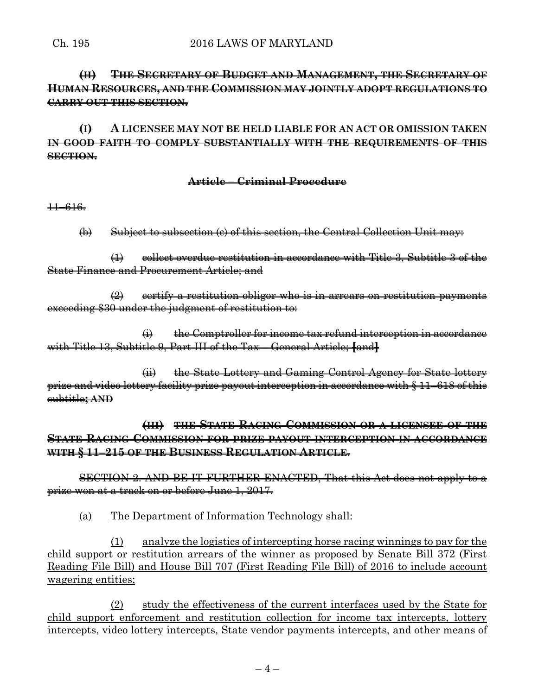# **(H) THE SECRETARY OF BUDGET AND MANAGEMENT, THE SECRETARY OF HUMAN RESOURCES, AND THE COMMISSION MAY JOINTLY ADOPT REGULATIONS TO CARRY OUT THIS SECTION.**

**(I) A LICENSEE MAY NOT BE HELD LIABLE FOR AN ACT OR OMISSION TAKEN IN GOOD FAITH TO COMPLY SUBSTANTIALLY WITH THE REQUIREMENTS OF THIS SECTION.**

## **Article – Criminal Procedure**

11–616.

(b) Subject to subsection (c) of this section, the Central Collection Unit may:

(1) collect overdue restitution in accordance with Title 3, Subtitle 3 of the State Finance and Procurement Article; and

 $\left( 2 \right)$  eertify a restitution obligor who is in arrears on restitution payments exceeding \$30 under the judgment of restitution to:

 $\leftrightarrow$  the Comptroller for income tax refund interception in accordance with Title 13, Subtitle 9, Part III of the Tax – General Article; **[**and**]**

(ii) the State Lottery and Gaming Control Agency for State lottery prize and video lottery facility prize payout interception in accordance with § 11–618 of this subtitle**; AND**

**(III) THE STATE RACING COMMISSION OR A LICENSEE OF THE STATE RACING COMMISSION FOR PRIZE PAYOUT INTERCEPTION IN ACCORDANCE WITH § 11–215 OF THE BUSINESS REGULATION ARTICLE**.

SECTION 2. AND BE IT FURTHER ENACTED, That this Act does not apply to a prize won at a track on or before June 1, 2017.

(a) The Department of Information Technology shall:

(1) analyze the logistics of intercepting horse racing winnings to pay for the child support or restitution arrears of the winner as proposed by Senate Bill 372 (First Reading File Bill) and House Bill 707 (First Reading File Bill) of 2016 to include account wagering entities;

(2) study the effectiveness of the current interfaces used by the State for child support enforcement and restitution collection for income tax intercepts, lottery intercepts, video lottery intercepts, State vendor payments intercepts, and other means of